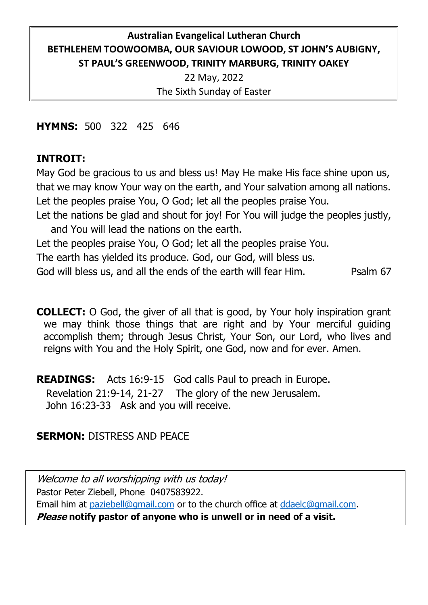# **Australian Evangelical Lutheran Church BETHLEHEM TOOWOOMBA, OUR SAVIOUR LOWOOD, ST JOHN'S AUBIGNY, ST PAUL'S GREENWOOD, TRINITY MARBURG, TRINITY OAKEY**

22 May, 2022 The Sixth Sunday of Easter

**HYMNS:** 500 322 425 646

## **INTROIT:**

May God be gracious to us and bless us! May He make His face shine upon us, that we may know Your way on the earth, and Your salvation among all nations. Let the peoples praise You, O God; let all the peoples praise You.

Let the nations be glad and shout for joy! For You will judge the peoples justly, and You will lead the nations on the earth.

Let the peoples praise You, O God; let all the peoples praise You.

The earth has yielded its produce. God, our God, will bless us.

God will bless us, and all the ends of the earth will fear Him. Psalm 67

**COLLECT:** O God, the giver of all that is good, by Your holy inspiration grant we may think those things that are right and by Your merciful guiding accomplish them; through Jesus Christ, Your Son, our Lord, who lives and reigns with You and the Holy Spirit, one God, now and for ever. Amen.

**READINGS:** Acts 16:9-15 God calls Paul to preach in Europe.

Revelation 21:9-14, 21-27 The glory of the new Jerusalem.

John 16:23-33 Ask and you will receive.

## **SERMON:** DISTRESS AND PEACE

Welcome to all worshipping with us today! Pastor Peter Ziebell, Phone 0407583922. Email him at [paziebell@gmail.com](mailto:paziebell@gmail.com) or to the church office at [ddaelc@gmail.com.](mailto:ddaelc@gmail.com) **Please notify pastor of anyone who is unwell or in need of a visit.**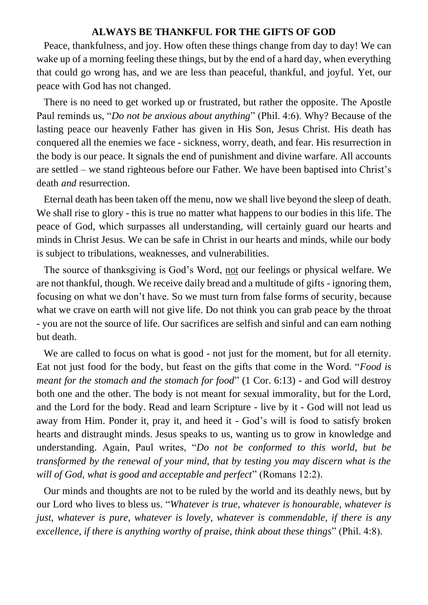#### **ALWAYS BE THANKFUL FOR THE GIFTS OF GOD**

Peace, thankfulness, and joy. How often these things change from day to day! We can wake up of a morning feeling these things, but by the end of a hard day, when everything that could go wrong has, and we are less than peaceful, thankful, and joyful. Yet, our peace with God has not changed.

There is no need to get worked up or frustrated, but rather the opposite. The Apostle Paul reminds us, "*Do not be anxious about anything*" (Phil. 4:6). Why? Because of the lasting peace our heavenly Father has given in His Son, Jesus Christ. His death has conquered all the enemies we face - sickness, worry, death, and fear. His resurrection in the body is our peace. It signals the end of punishment and divine warfare. All accounts are settled – we stand righteous before our Father. We have been baptised into Christ's death *and* resurrection.

Eternal death has been taken off the menu, now we shall live beyond the sleep of death. We shall rise to glory - this is true no matter what happens to our bodies in this life. The peace of God, which surpasses all understanding, will certainly guard our hearts and minds in Christ Jesus. We can be safe in Christ in our hearts and minds, while our body is subject to tribulations, weaknesses, and vulnerabilities.

The source of thanksgiving is God's Word, not our feelings or physical welfare. We are not thankful, though. We receive daily bread and a multitude of gifts - ignoring them, focusing on what we don't have. So we must turn from false forms of security, because what we crave on earth will not give life. Do not think you can grab peace by the throat - you are not the source of life. Our sacrifices are selfish and sinful and can earn nothing but death.

We are called to focus on what is good - not just for the moment, but for all eternity. Eat not just food for the body, but feast on the gifts that come in the Word. "*Food is meant for the stomach and the stomach for food*" (1 Cor. 6:13) - and God will destroy both one and the other. The body is not meant for sexual immorality, but for the Lord, and the Lord for the body. Read and learn Scripture - live by it - God will not lead us away from Him. Ponder it, pray it, and heed it - God's will is food to satisfy broken hearts and distraught minds. Jesus speaks to us, wanting us to grow in knowledge and understanding. Again, Paul writes, "*Do not be conformed to this world, but be transformed by the renewal of your mind, that by testing you may discern what is the will of God, what is good and acceptable and perfect*" (Romans 12:2).

Our minds and thoughts are not to be ruled by the world and its deathly news, but by our Lord who lives to bless us. "*Whatever is true, whatever is honourable, whatever is just, whatever is pure, whatever is lovely, whatever is commendable, if there is any excellence, if there is anything worthy of praise, think about these things*" (Phil. 4:8).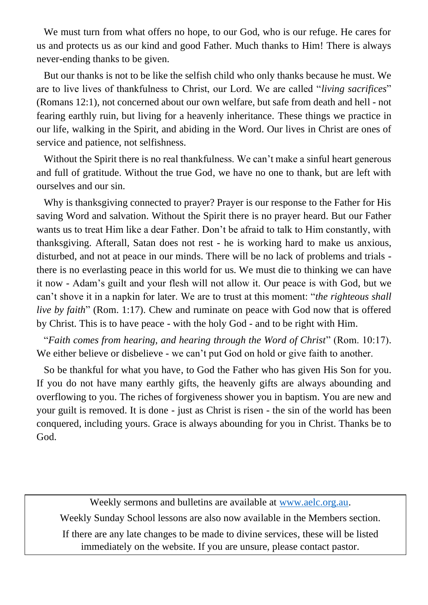We must turn from what offers no hope, to our God, who is our refuge. He cares for us and protects us as our kind and good Father. Much thanks to Him! There is always never-ending thanks to be given.

But our thanks is not to be like the selfish child who only thanks because he must. We are to live lives of thankfulness to Christ, our Lord. We are called "*living sacrifices*" (Romans 12:1), not concerned about our own welfare, but safe from death and hell - not fearing earthly ruin, but living for a heavenly inheritance. These things we practice in our life, walking in the Spirit, and abiding in the Word. Our lives in Christ are ones of service and patience, not selfishness.

Without the Spirit there is no real thankfulness. We can't make a sinful heart generous and full of gratitude. Without the true God, we have no one to thank, but are left with ourselves and our sin.

Why is thanksgiving connected to prayer? Prayer is our response to the Father for His saving Word and salvation. Without the Spirit there is no prayer heard. But our Father wants us to treat Him like a dear Father. Don't be afraid to talk to Him constantly, with thanksgiving. Afterall, Satan does not rest - he is working hard to make us anxious, disturbed, and not at peace in our minds. There will be no lack of problems and trials there is no everlasting peace in this world for us. We must die to thinking we can have it now - Adam's guilt and your flesh will not allow it. Our peace is with God, but we can't shove it in a napkin for later. We are to trust at this moment: "*the righteous shall live by faith*" (Rom. 1:17). Chew and ruminate on peace with God now that is offered by Christ. This is to have peace - with the holy God - and to be right with Him.

"*Faith comes from hearing, and hearing through the Word of Christ*" (Rom. 10:17). We either believe or disbelieve - we can't put God on hold or give faith to another.

So be thankful for what you have, to God the Father who has given His Son for you. If you do not have many earthly gifts, the heavenly gifts are always abounding and overflowing to you. The riches of forgiveness shower you in baptism. You are new and your guilt is removed. It is done - just as Christ is risen - the sin of the world has been conquered, including yours. Grace is always abounding for you in Christ. Thanks be to God.

Weekly sermons and bulletins are available a[t www.aelc.org.au.](http://www.aelc.org.au/) Weekly Sunday School lessons are also now available in the Members section. If there are any late changes to be made to divine services, these will be listed immediately on the website. If you are unsure, please contact pastor.